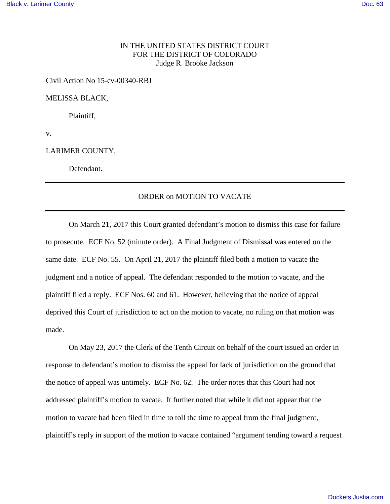## IN THE UNITED STATES DISTRICT COURT FOR THE DISTRICT OF COLORADO Judge R. Brooke Jackson

Civil Action No 15-cv-00340-RBJ

MELISSA BLACK,

Plaintiff,

v.

LARIMER COUNTY,

Defendant.

## ORDER on MOTION TO VACATE

On March 21, 2017 this Court granted defendant's motion to dismiss this case for failure to prosecute. ECF No. 52 (minute order). A Final Judgment of Dismissal was entered on the same date. ECF No. 55. On April 21, 2017 the plaintiff filed both a motion to vacate the judgment and a notice of appeal. The defendant responded to the motion to vacate, and the plaintiff filed a reply. ECF Nos. 60 and 61. However, believing that the notice of appeal deprived this Court of jurisdiction to act on the motion to vacate, no ruling on that motion was made.

 On May 23, 2017 the Clerk of the Tenth Circuit on behalf of the court issued an order in response to defendant's motion to dismiss the appeal for lack of jurisdiction on the ground that the notice of appeal was untimely. ECF No. 62. The order notes that this Court had not addressed plaintiff's motion to vacate. It further noted that while it did not appear that the motion to vacate had been filed in time to toll the time to appeal from the final judgment, plaintiff's reply in support of the motion to vacate contained "argument tending toward a request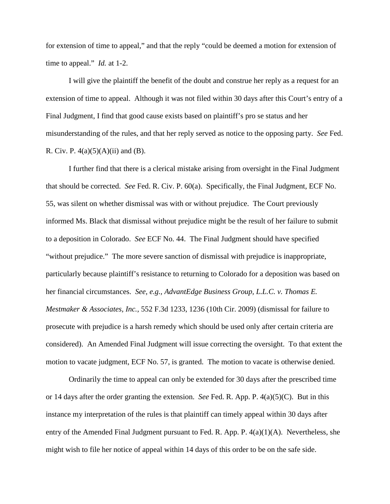for extension of time to appeal," and that the reply "could be deemed a motion for extension of time to appeal." *Id.* at 1-2.

 I will give the plaintiff the benefit of the doubt and construe her reply as a request for an extension of time to appeal. Although it was not filed within 30 days after this Court's entry of a Final Judgment, I find that good cause exists based on plaintiff's pro se status and her misunderstanding of the rules, and that her reply served as notice to the opposing party. *See* Fed. R. Civ. P.  $4(a)(5)(A)(ii)$  and (B).

 I further find that there is a clerical mistake arising from oversight in the Final Judgment that should be corrected. *See* Fed. R. Civ. P. 60(a). Specifically, the Final Judgment, ECF No. 55, was silent on whether dismissal was with or without prejudice. The Court previously informed Ms. Black that dismissal without prejudice might be the result of her failure to submit to a deposition in Colorado. *See* ECF No. 44. The Final Judgment should have specified "without prejudice." The more severe sanction of dismissal with prejudice is inappropriate, particularly because plaintiff's resistance to returning to Colorado for a deposition was based on her financial circumstances. *See, e.g., AdvantEdge Business Group, L.L.C. v. Thomas E. Mestmaker & Associates, Inc.,* 552 F.3d 1233, 1236 (10th Cir. 2009) (dismissal for failure to prosecute with prejudice is a harsh remedy which should be used only after certain criteria are considered). An Amended Final Judgment will issue correcting the oversight. To that extent the motion to vacate judgment, ECF No. 57, is granted. The motion to vacate is otherwise denied.

Ordinarily the time to appeal can only be extended for 30 days after the prescribed time or 14 days after the order granting the extension. *See* Fed. R. App. P. 4(a)(5)(C). But in this instance my interpretation of the rules is that plaintiff can timely appeal within 30 days after entry of the Amended Final Judgment pursuant to Fed. R. App. P. 4(a)(1)(A). Nevertheless, she might wish to file her notice of appeal within 14 days of this order to be on the safe side.